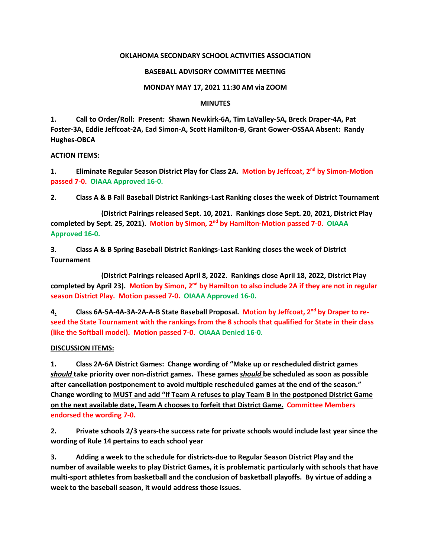# **OKLAHOMA SECONDARY SCHOOL ACTIVITIES ASSOCIATION**

## **BASEBALL ADVISORY COMMITTEE MEETING**

## **MONDAY MAY 17, 2021 11:30 AM via ZOOM**

#### **MINUTES**

**1. Call to Order/Roll: Present: Shawn Newkirk-6A, Tim LaValley-5A, Breck Draper-4A, Pat Foster-3A, Eddie Jeffcoat-2A, Ead Simon-A, Scott Hamilton-B, Grant Gower-OSSAA Absent: Randy Hughes-OBCA**

#### **ACTION ITEMS:**

**1. Eliminate Regular Season District Play for Class 2A. Motion by Jeffcoat, 2nd by Simon-Motion passed 7-0. OIAAA Approved 16-0.**

**2. Class A & B Fall Baseball District Rankings-Last Ranking closes the week of District Tournament**

**(District Pairings released Sept. 10, 2021. Rankings close Sept. 20, 2021, District Play completed by Sept. 25, 2021). Motion by Simon, 2nd by Hamilton-Motion passed 7-0. OIAAA Approved 16-0.**

**3. Class A & B Spring Baseball District Rankings-Last Ranking closes the week of District Tournament**

**(District Pairings released April 8, 2022. Rankings close April 18, 2022, District Play completed by April 23). Motion by Simon, 2nd by Hamilton to also include 2A if they are not in regular season District Play. Motion passed 7-0. OIAAA Approved 16-0.**

**4. Class 6A-5A-4A-3A-2A-A-B State Baseball Proposal. Motion by Jeffcoat, 2nd by Draper to reseed the State Tournament with the rankings from the 8 schools that qualified for State in their class (like the Softball model). Motion passed 7-0. OIAAA Denied 16-0.**

# **DISCUSSION ITEMS:**

**1. Class 2A-6A District Games: Change wording of "Make up or rescheduled district games**  *should* **take priority over non-district games. These games** *should* **be scheduled as soon as possible after cancellation postponement to avoid multiple rescheduled games at the end of the season." Change wording to MUST and add "If Team A refuses to play Team B in the postponed District Game on the next available date, Team A chooses to forfeit that District Game. Committee Members endorsed the wording 7-0.**

**2. Private schools 2/3 years-the success rate for private schools would include last year since the wording of Rule 14 pertains to each school year**

**3. Adding a week to the schedule for districts-due to Regular Season District Play and the number of available weeks to play District Games, it is problematic particularly with schools that have multi-sport athletes from basketball and the conclusion of basketball playoffs. By virtue of adding a week to the baseball season, it would address those issues.**